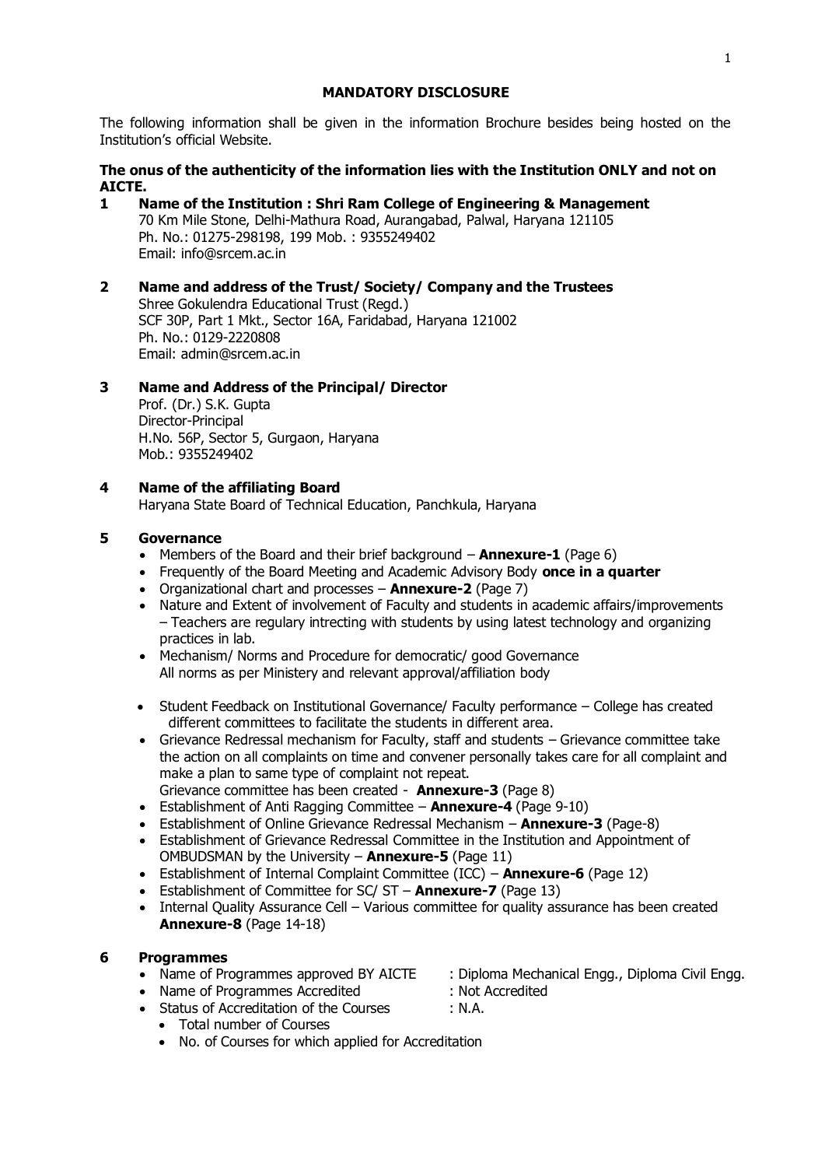### **MANDATORY DISCLOSURE**

The following information shall be given in the information Brochure besides being hosted on the Institution's official Website.

# **The onus of the authenticity of the information lies with the Institution ONLY and not on AICTE.**

- **1 Name of the Institution : Shri Ram College of Engineering & Management** 70 Km Mile Stone, Delhi-Mathura Road, Aurangabad, Palwal, Haryana 121105 Ph. No.: 01275-298198, 199 Mob. : 9355249402 Email: info@srcem.ac.in
- **2 Name and address of the Trust/ Society/ Company and the Trustees** Shree Gokulendra Educational Trust (Regd.) SCF 30P, Part 1 Mkt., Sector 16A, Faridabad, Haryana 121002 Ph. No.: 0129-2220808 Email: admin@srcem.ac.in

# **3 Name and Address of the Principal/ Director**

Prof. (Dr.) S.K. Gupta Director-Principal H.No. 56P, Sector 5, Gurgaon, Haryana Mob.: 9355249402

## **4 Name of the affiliating Board**

Haryana State Board of Technical Education, Panchkula, Haryana

## **5 Governance**

- Members of the Board and their brief background **Annexure-1** (Page 6)
- Frequently of the Board Meeting and Academic Advisory Body **once in a quarter**
- Organizational chart and processes **Annexure-2** (Page 7)
- Nature and Extent of involvement of Faculty and students in academic affairs/improvements – Teachers are regulary intrecting with students by using latest technology and organizing practices in lab.
- Mechanism/ Norms and Procedure for democratic/ good Governance All norms as per Ministery and relevant approval/affiliation body
- Student Feedback on Institutional Governance/ Faculty performance College has created different committees to facilitate the students in different area.
- Grievance Redressal mechanism for Faculty, staff and students Grievance committee take the action on all complaints on time and convener personally takes care for all complaint and make a plan to same type of complaint not repeat.
- Grievance committee has been created **Annexure-3** (Page 8)
- Establishment of Anti Ragging Committee **Annexure-4** (Page 9-10) • Establishment of Online Grievance Redressal Mechanism – **Annexure-3** (Page-8)
- Establishment of Grievance Redressal Committee in the Institution and Appointment of OMBUDSMAN by the University – **Annexure-5** (Page 11)
- Establishment of Internal Complaint Committee (ICC) **Annexure-6** (Page 12)
- Establishment of Committee for SC/ ST **Annexure-7** (Page 13)
- Internal Quality Assurance Cell Various committee for quality assurance has been created **Annexure-8** (Page 14-18)

## **6 Programmes**

- 
- Name of Programmes Accredited : Not Accredited
- Status of Accreditation of the Courses : N.A.
	- Total number of Courses
	- No. of Courses for which applied for Accreditation
- Name of Programmes approved BY AICTE : Diploma Mechanical Engg., Diploma Civil Engg.
	-
	-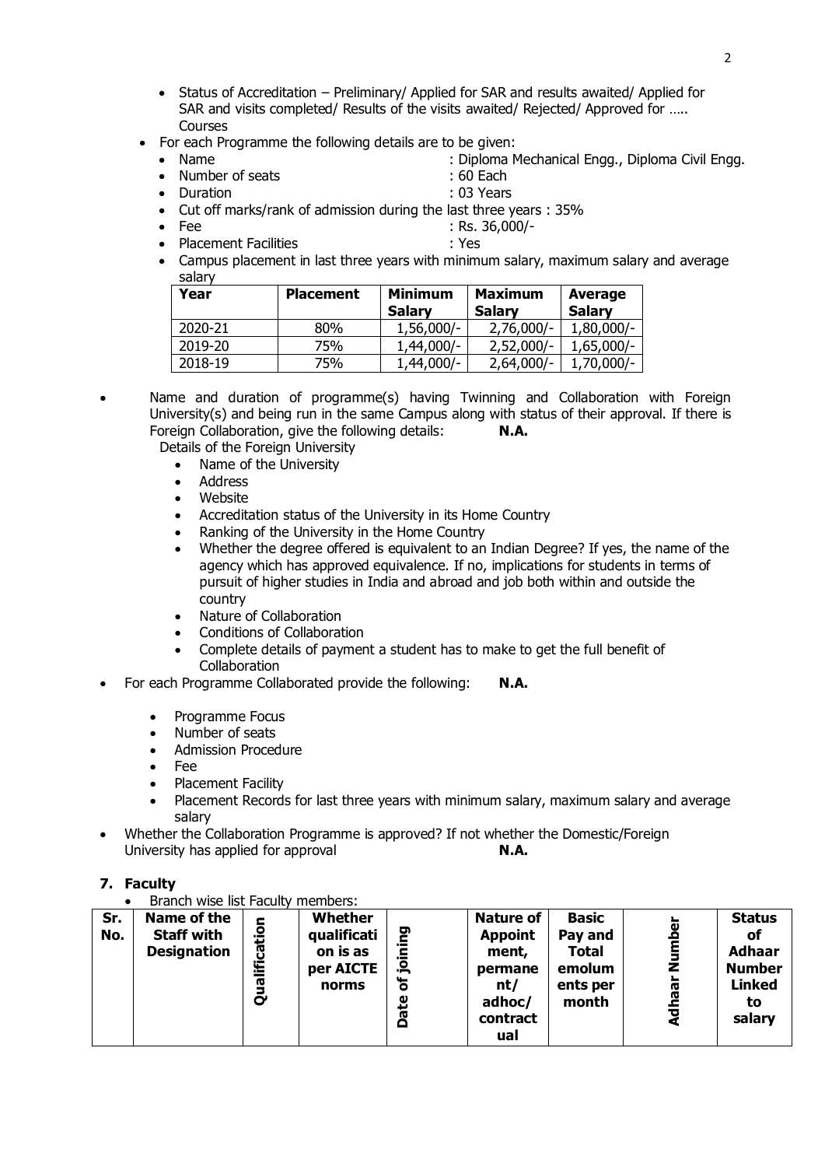- Status of Accreditation Preliminary/ Applied for SAR and results awaited/ Applied for SAR and visits completed/ Results of the visits awaited/ Rejected/ Approved for ….. **Courses**
- For each Programme the following details are to be given:
- - Name in the same of seats in the seats of the control of the control of the control of the control of the control of the control of Each  $\sim$  60 Each  $\sim$  60 Each  $\sim$  60 Each  $\sim$  500 Each  $\sim$  500 Each  $\sim$  500 Each  $\sim$
- Number of seats • Duration : 03 Years
	-
- Cut off marks/rank of admission during the last three years : 35%
- **Fee : Rs. 36,000/-**
- Placement Facilities : Yes
- Campus placement in last three years with minimum salary, maximum salary and average salary

| Year    | <b>Placement</b> | <b>Minimum</b><br><b>Salary</b> | <b>Maximum</b><br><b>Salary</b> | <b>Average</b><br><b>Salary</b> |
|---------|------------------|---------------------------------|---------------------------------|---------------------------------|
| 2020-21 | 80%              | $1,56,000/-$                    | $2,76,000/-$                    | $1,80,000/-$                    |
| 2019-20 | 75%              | $1,44,000/-$                    | $2,52,000/-$                    | $1,65,000/-$                    |
| 2018-19 | 75%              | $1,44,000/-$                    | $2,64,000/-$                    | $1,70,000/-$                    |

- Name and duration of programme(s) having Twinning and Collaboration with Foreign University(s) and being run in the same Campus along with status of their approval. If there is Foreign Collaboration, give the following details: **N.A.**
	- Details of the Foreign University
		- Name of the University
		- **Address**
		- Website
		- Accreditation status of the University in its Home Country
		- Ranking of the University in the Home Country
		- Whether the degree offered is equivalent to an Indian Degree? If yes, the name of the agency which has approved equivalence. If no, implications for students in terms of pursuit of higher studies in India and abroad and job both within and outside the country
		- Nature of Collaboration
		- Conditions of Collaboration
		- Complete details of payment a student has to make to get the full benefit of **Collaboration**
- For each Programme Collaborated provide the following: **N.A.**
	- Programme Focus
	- Number of seats
	- Admission Procedure
	- Fee
	- Placement Facility
	- Placement Records for last three years with minimum salary, maximum salary and average salary
- Whether the Collaboration Programme is approved? If not whether the Domestic/Foreign University has applied for approval **N.A.**
- **7. Faculty**
	- Branch wise list Faculty members:

| Sr.<br>No. | Name of the<br><b>Staff with</b><br><b>Designation</b> | cation<br>Ě<br><b>r</b><br>Ō | Whether<br>qualificati<br>on is as<br>per AICTE<br>norms | ደ<br>έ<br><u>م.</u><br>৳<br>ഋ<br>œ<br>o | <b>Nature of</b><br><b>Appoint</b><br>ment,<br>permane<br>nt/<br>adhoc/<br>contract<br>ual | <b>Basic</b><br>Pay and<br>Total<br>emolum<br>ents per<br>month | z<br><b>RG</b> | <b>Status</b><br>оf<br><b>Adhaar</b><br><b>Number</b><br><b>Linked</b><br>to<br>salary |
|------------|--------------------------------------------------------|------------------------------|----------------------------------------------------------|-----------------------------------------|--------------------------------------------------------------------------------------------|-----------------------------------------------------------------|----------------|----------------------------------------------------------------------------------------|
|------------|--------------------------------------------------------|------------------------------|----------------------------------------------------------|-----------------------------------------|--------------------------------------------------------------------------------------------|-----------------------------------------------------------------|----------------|----------------------------------------------------------------------------------------|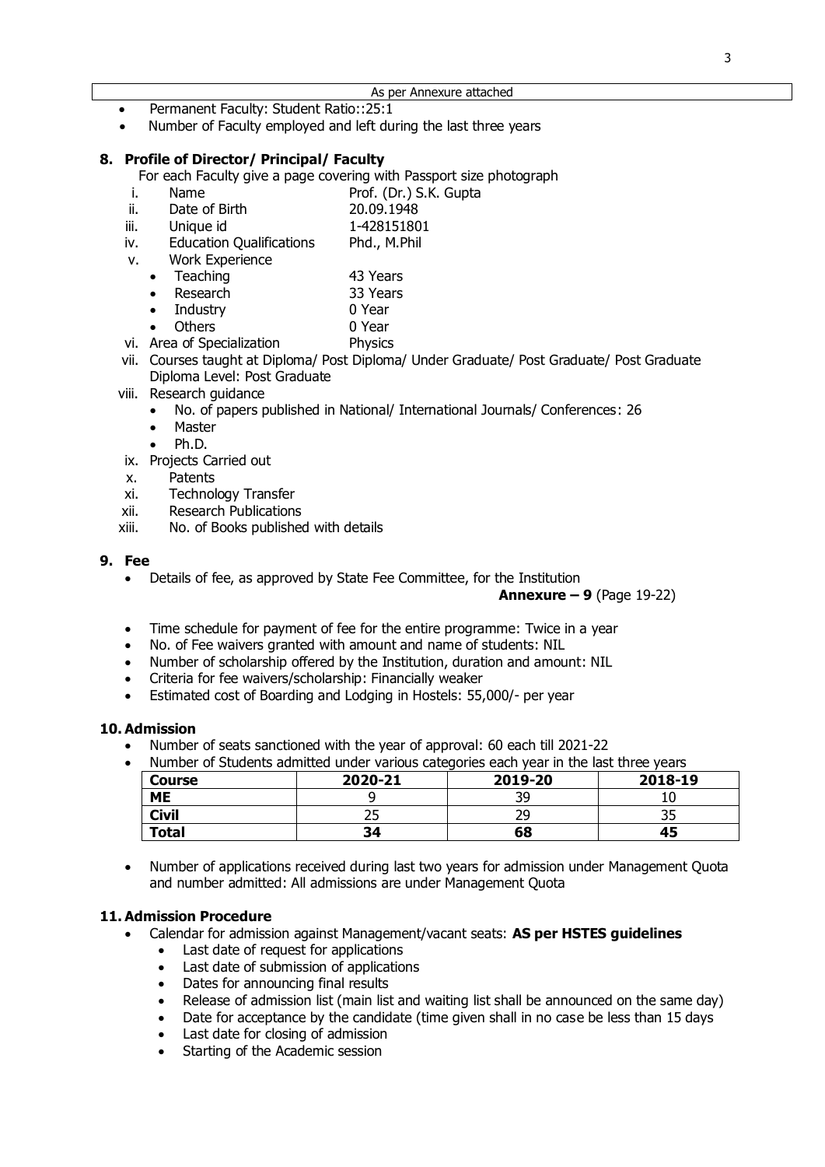- Permanent Faculty: Student Ratio::25:1
- Number of Faculty employed and left during the last three years

#### **8. Profile of Director/ Principal/ Faculty**

For each Faculty give a page covering with Passport size photograph<br>i. Name Prof. (Dr.) S.K. Gunta

- Prof. (Dr.) S.K. Gupta
- ii. Date of Birth 20.09.1948
- iii. Unique id 1-428151801
- iv. Education Qualifications Phd., M.Phil
- v. Work Experience
	- Teaching 43 Years
	-
	- **Parameter Research 53 Years**<br> **19 Year**10 Year
	10 Year
	10 Year
	10 Year
	10 Year
	10 Year
	10 Year
	10 Year
	10 Year
	10 Year
	10 Year
	10 Year
	10 Year
	10 Year
	10 Year
	10 Year
	10 Year
	10 Year
	10 Year
	10 Year
	10 Year
	10 Year
	10 Ye Industry
	- Others 0 Year
- vi. Area of Specialization Physics
- vii. Courses taught at Diploma/ Post Diploma/ Under Graduate/ Post Graduate/ Post Graduate Diploma Level: Post Graduate
- viii. Research guidance
	- No. of papers published in National/ International Journals/ Conferences: 26
	- Master
	- Ph.D.
- ix. Projects Carried out
- x. Patents
- xi. Technology Transfer
- xii. Research Publications
- xiii. No. of Books published with details

#### **9. Fee**

• Details of fee, as approved by State Fee Committee, for the Institution

**Annexure – 9** (Page 19-22)

- Time schedule for payment of fee for the entire programme: Twice in a year
- No. of Fee waivers granted with amount and name of students: NIL
- Number of scholarship offered by the Institution, duration and amount: NIL
- Criteria for fee waivers/scholarship: Financially weaker
- Estimated cost of Boarding and Lodging in Hostels: 55,000/- per year

#### **10. Admission**

• Number of seats sanctioned with the year of approval: 60 each till 2021-22

| Number of Students admitted under various categories each year in the last three years |  |  |  |
|----------------------------------------------------------------------------------------|--|--|--|
|                                                                                        |  |  |  |

| <b>Course</b> | 2020-21 | 2019-20 | 2018-19 |
|---------------|---------|---------|---------|
| <b>ME</b>     |         | 3C      | ᅭ       |
| <b>Civil</b>  |         | າດ      | ں ر     |
| <b>Total</b>  | 34      | 68      | 45      |

• Number of applications received during last two years for admission under Management Quota and number admitted: All admissions are under Management Quota

## **11. Admission Procedure**

- Calendar for admission against Management/vacant seats: **AS per HSTES guidelines**
	- Last date of request for applications
	- Last date of submission of applications
	- Dates for announcing final results
	- Release of admission list (main list and waiting list shall be announced on the same day)
	- Date for acceptance by the candidate (time given shall in no case be less than 15 days
	- Last date for closing of admission
	- Starting of the Academic session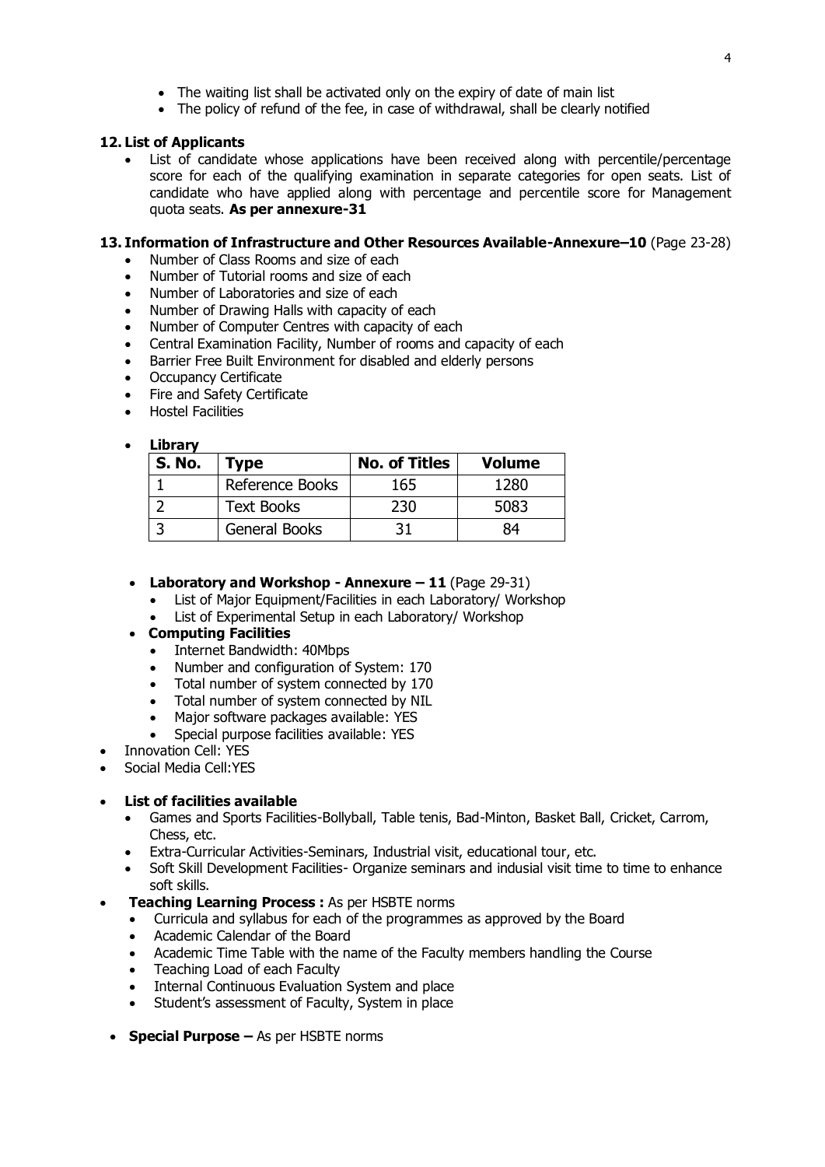- The waiting list shall be activated only on the expiry of date of main list
- The policy of refund of the fee, in case of withdrawal, shall be clearly notified

### **12. List of Applicants**

List of candidate whose applications have been received along with percentile/percentage score for each of the qualifying examination in separate categories for open seats. List of candidate who have applied along with percentage and percentile score for Management quota seats. **As per annexure-31**

## **13. Information of Infrastructure and Other Resources Available-Annexure–10** (Page 23-28)

- Number of Class Rooms and size of each
- Number of Tutorial rooms and size of each
- Number of Laboratories and size of each
- Number of Drawing Halls with capacity of each
- Number of Computer Centres with capacity of each
- Central Examination Facility, Number of rooms and capacity of each
- Barrier Free Built Environment for disabled and elderly persons
- Occupancy Certificate
- Fire and Safety Certificate
- Hostel Facilities

#### • **Library**

| <b>S. No.</b> | <b>Type</b>          | <b>No. of Titles</b> | <b>Volume</b> |
|---------------|----------------------|----------------------|---------------|
|               | Reference Books      | 165                  | 1280          |
|               | <b>Text Books</b>    | 230                  | 5083          |
|               | <b>General Books</b> |                      | 84            |

- **Laboratory and Workshop - Annexure – 11** (Page 29-31)
	- List of Major Equipment/Facilities in each Laboratory/ Workshop
	- List of Experimental Setup in each Laboratory/ Workshop

## • **Computing Facilities**

- Internet Bandwidth: 40Mbps
- Number and configuration of System: 170
- Total number of system connected by 170
- Total number of system connected by NIL
- Major software packages available: YES
- Special purpose facilities available: YES
- Innovation Cell: YES
- Social Media Cell:YES

## • **List of facilities available**

- Games and Sports Facilities-Bollyball, Table tenis, Bad-Minton, Basket Ball, Cricket, Carrom, Chess, etc.
- Extra-Curricular Activities-Seminars, Industrial visit, educational tour, etc.
- Soft Skill Development Facilities- Organize seminars and indusial visit time to time to enhance soft skills.
- **Teaching Learning Process :** As per HSBTE norms
	- Curricula and syllabus for each of the programmes as approved by the Board
	- Academic Calendar of the Board
	- Academic Time Table with the name of the Faculty members handling the Course
	- Teaching Load of each Faculty
	- Internal Continuous Evaluation System and place
	- Student's assessment of Faculty, System in place
	- **Special Purpose –** As per HSBTE norms